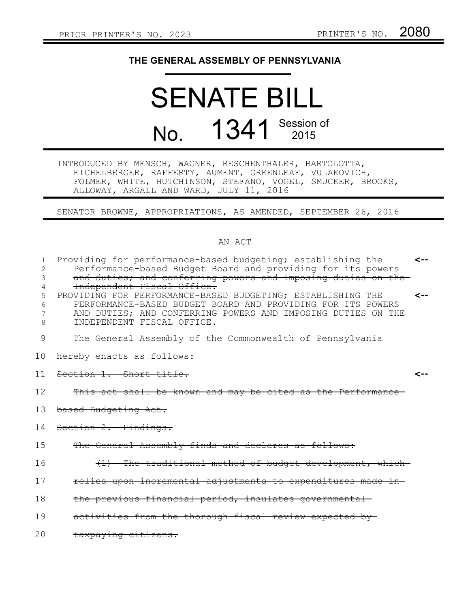## **THE GENERAL ASSEMBLY OF PENNSYLVANIA**

## SENATE BILL No. 1341 Session of

INTRODUCED BY MENSCH, WAGNER, RESCHENTHALER, BARTOLOTTA, EICHELBERGER, RAFFERTY, AUMENT, GREENLEAF, VULAKOVICH, FOLMER, WHITE, HUTCHINSON, STEFANO, VOGEL, SMUCKER, BROOKS, ALLOWAY, ARGALL AND WARD, JULY 11, 2016

SENATOR BROWNE, APPROPRIATIONS, AS AMENDED, SEPTEMBER 26, 2016

## AN ACT

| 1      | Providing for performance based budgeting; establishing the                                                                | <-- |
|--------|----------------------------------------------------------------------------------------------------------------------------|-----|
| 2      | Performance based Budget Board and providing for its powers                                                                |     |
| 3      | and duties; and conferring powers and imposing duties on the                                                               |     |
| 4      | Independent Fiscal Office.                                                                                                 |     |
| 5      | PROVIDING FOR PERFORMANCE-BASED BUDGETING; ESTABLISHING THE<br>PERFORMANCE-BASED BUDGET BOARD AND PROVIDING FOR ITS POWERS | <-- |
| 6<br>7 | AND DUTIES; AND CONFERRING POWERS AND IMPOSING DUTIES ON THE                                                               |     |
| 8      | INDEPENDENT FISCAL OFFICE.                                                                                                 |     |
|        |                                                                                                                            |     |
| 9      | The General Assembly of the Commonwealth of Pennsylvania                                                                   |     |
| 10     | hereby enacts as follows:                                                                                                  |     |
| 11     | Section 1. Short title.                                                                                                    | ⊂-- |
|        |                                                                                                                            |     |
| 12     | This act shall be known and may be cited as the Performance-                                                               |     |
| 13     | based Budgeting Act.                                                                                                       |     |
| 14     | Section 2. Findings.                                                                                                       |     |
| 15     | The General Assembly finds and declares as follows:                                                                        |     |
| 16     | (1) The traditional method of budget development, which-                                                                   |     |
| 17     | relies upon incremental adjustments to expenditures made in-                                                               |     |
| 18     | the previous financial period, insulates governmental                                                                      |     |
| 19     | activities from the thorough fiscal review expected by-                                                                    |     |
| 20     | taxpaying citizens.                                                                                                        |     |
|        |                                                                                                                            |     |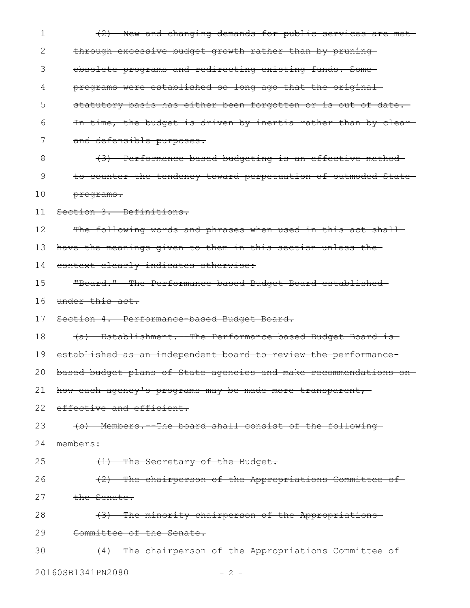| 1  | (2) New and changing demands for public services are met-           |
|----|---------------------------------------------------------------------|
| 2  | through excessive budget growth rather than by pruning              |
| 3  | obsolete programs and redirecting existing funds. Some-             |
| 4  | programs were established so long ago that the original             |
| 5  | statutory basis has either been forgotten or is out of date.        |
| 6  | In time, the budget is driven by inertia rather than by clear-      |
| 7  | and defensible purposes.                                            |
| 8  | (3) Performance based budgeting is an effective method              |
| 9  | to counter the tendency toward perpetuation of outmoded State-      |
| 10 | programs.                                                           |
| 11 | Section 3. Definitions.                                             |
| 12 | The following words and phrases when used in this act shall         |
| 13 | have the meanings given to them in this section unless the-         |
| 14 | context clearly indicates otherwise:                                |
| 15 | "Board." The Performance-based Budget Board established-            |
| 16 | under this act.                                                     |
| 17 | Section 4. Performance-based Budget Board.                          |
| 18 | (a) Establishment. The Performance based Budget Board is            |
| 19 | established as an independent board to review the performance-      |
|    | 20 based budget plans of State agencies and make recommendations on |
| 21 | how each agency's programs may be made more transparent,            |
| 22 | effective and efficient.                                            |
| 23 | (b) Members. - The board shall consist of the following             |
| 24 | members:                                                            |
| 25 | (1) The Secretary of the Budget.                                    |
| 26 | (2) The chairperson of the Appropriations Committee of              |
| 27 | the Senate.                                                         |
| 28 | (3) The minority chairperson of the Appropriations-                 |
| 29 | Committee of the Senate.                                            |
| 30 | (4) The chairperson of the Appropriations Committee of              |
|    |                                                                     |

20160SB1341PN2080 - 2 -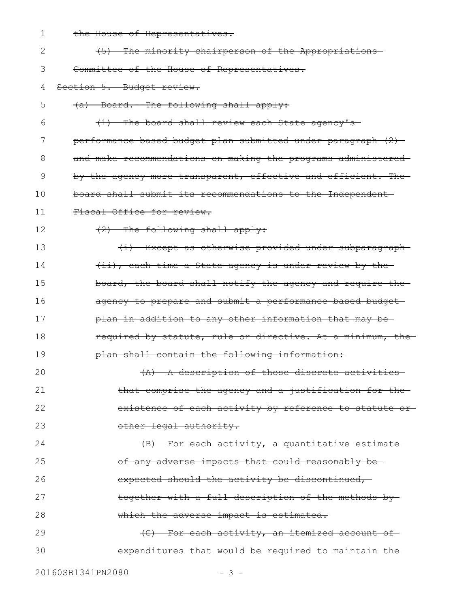1 the House of Representatives.

| $\mathbf{2}$ | (5) The minority chairperson of the Appropriations-           |
|--------------|---------------------------------------------------------------|
| 3            | Committee of the House of Representatives.                    |
| 4            | Section 5. Budget review.                                     |
| 5            | (a) Board.--The following shall apply:                        |
| 6            | (1) The board shall review each State agency's                |
| 7            | performance based budget plan submitted under paragraph (2)   |
| 8            | and make recommendations on making the programs administered- |
| 9            | by the agency more transparent, effective and efficient. The- |
| 10           | board shall submit its recommendations to the Independent-    |
| 11           | Fiscal Office for review.                                     |
| 12           | (2) The following shall apply:                                |
| 13           | (i) Except as otherwise provided under subparagraph-          |
| 14           | (ii), each time a State agency is under review by the         |
| 15           | board, the board shall notify the agency and require the-     |
| 16           | agency to prepare and submit a performance based budget       |
| 17           | plan in addition to any other information that may be-        |
| 18           | required by statute, rule or directive. At a minimum, the     |
| 19           | plan shall contain the following information:                 |
| 20           | A description of those discrete activities<br>$\overline{A}$  |
| 21           | that comprise the agency and a justification for the          |
| 22           | existence of each activity by reference to statute or-        |
| 23           | other legal authority.                                        |
| 24           | (B) For each activity, a quantitative estimate                |
| 25           | of any adverse impacts that could reasonably be-              |
| 26           | expected should the activity be discontinued,                 |
| 27           | together with a full description of the methods by-           |
| 28           | which the adverse impact is estimated.                        |
| 29           | (C) For each activity, an itemized account of                 |
| 30           | expenditures that would be required to maintain the-          |
|              |                                                               |

20160SB1341PN2080 - 3 -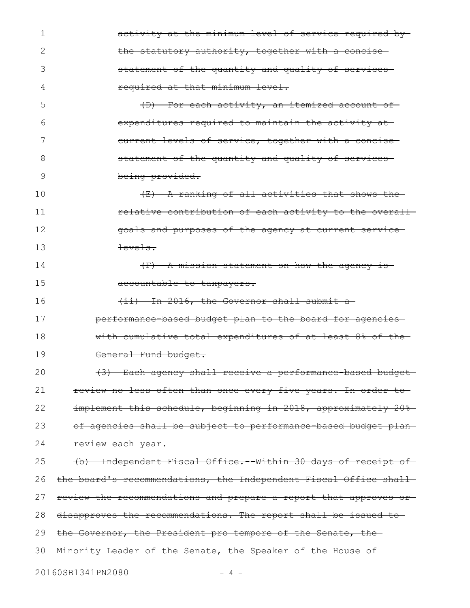| 1  | activity at the minimum level of service required by-             |
|----|-------------------------------------------------------------------|
| 2  | the statutory authority, together with a concise                  |
| 3  | statement of the quantity and quality of services                 |
| 4  | required at that minimum level.                                   |
| 5  | (D) For each activity, an itemized account of-                    |
| 6  | expenditures required to maintain the activity at-                |
| 7  | current levels of service, together with a concise-               |
| 8  | statement of the quantity and quality of services-                |
| 9  | being provided.                                                   |
| 10 | (E) A ranking of all activities that shows the                    |
| 11 | relative contribution of each activity to the overall             |
| 12 | goals and purposes of the agency at current service-              |
| 13 | <del>levels.</del>                                                |
| 14 | $(F)$ A mission statement on how the agency is-                   |
| 15 | accountable to taxpayers.                                         |
| 16 | (ii) In 2016, the Governor shall submit a                         |
| 17 | performance based budget plan to the board for agencies           |
| 18 | with cumulative total expenditures of at least 8% of the-         |
| 19 | General Fund budget.                                              |
| 20 | (3) Each agency shall receive a performance based budget-         |
| 21 | review no less often than once every five years. In order to      |
| 22 | implement this schedule, beginning in 2018, approximately 20%     |
| 23 | of agencies shall be subject to performance based budget plan-    |
| 24 | review each year.                                                 |
| 25 | (b) Independent Fiscal Office. - Within 30 days of receipt of-    |
| 26 | the board's recommendations, the Independent Fiscal Office shall- |
| 27 | review the recommendations and prepare a report that approves or- |
| 28 | disapproves the recommendations. The report shall be issued to-   |
| 29 | the Governor, the President pro tempore of the Senate, the-       |
| 30 | Minority Leader of the Senate, the Speaker of the House of        |
|    | 20160SB1341PN2080                                                 |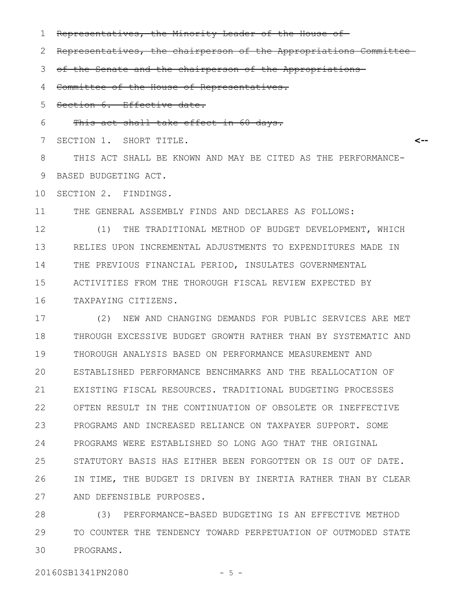Representatives, the Minority Leader of the House of 1

Representatives, the chairperson of the Appropriations Committee 2

of the Senate and the chairperson of the Appropriations 3

Committee of the House of Representatives. 4

Section 6. Effective date. 5

This act shall take effect in 60 days. 6

SECTION 1. SHORT TITLE. 7

**<--**

THIS ACT SHALL BE KNOWN AND MAY BE CITED AS THE PERFORMANCE-BASED BUDGETING ACT. 8 9

SECTION 2. FINDINGS. 10

THE GENERAL ASSEMBLY FINDS AND DECLARES AS FOLLOWS: 11

(1) THE TRADITIONAL METHOD OF BUDGET DEVELOPMENT, WHICH RELIES UPON INCREMENTAL ADJUSTMENTS TO EXPENDITURES MADE IN THE PREVIOUS FINANCIAL PERIOD, INSULATES GOVERNMENTAL ACTIVITIES FROM THE THOROUGH FISCAL REVIEW EXPECTED BY TAXPAYING CITIZENS. 12 13 14 15 16

(2) NEW AND CHANGING DEMANDS FOR PUBLIC SERVICES ARE MET THROUGH EXCESSIVE BUDGET GROWTH RATHER THAN BY SYSTEMATIC AND THOROUGH ANALYSIS BASED ON PERFORMANCE MEASUREMENT AND ESTABLISHED PERFORMANCE BENCHMARKS AND THE REALLOCATION OF EXISTING FISCAL RESOURCES. TRADITIONAL BUDGETING PROCESSES OFTEN RESULT IN THE CONTINUATION OF OBSOLETE OR INEFFECTIVE PROGRAMS AND INCREASED RELIANCE ON TAXPAYER SUPPORT. SOME PROGRAMS WERE ESTABLISHED SO LONG AGO THAT THE ORIGINAL STATUTORY BASIS HAS EITHER BEEN FORGOTTEN OR IS OUT OF DATE. IN TIME, THE BUDGET IS DRIVEN BY INERTIA RATHER THAN BY CLEAR AND DEFENSIBLE PURPOSES. 17 18 19 20 21 22 23 24 25 26 27

(3) PERFORMANCE-BASED BUDGETING IS AN EFFECTIVE METHOD TO COUNTER THE TENDENCY TOWARD PERPETUATION OF OUTMODED STATE PROGRAMS. 28 29 30

20160SB1341PN2080 - 5 -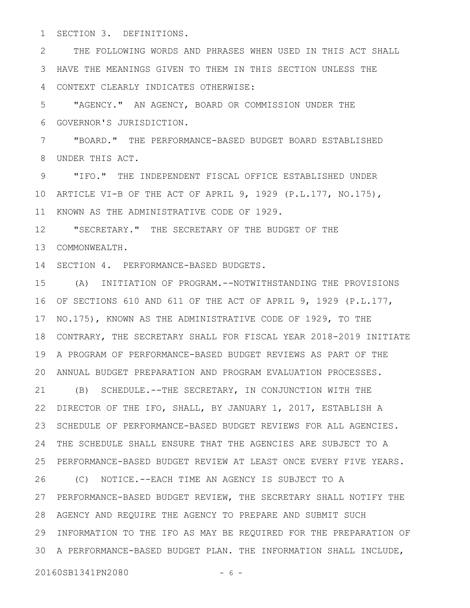SECTION 3. DEFINITIONS. 1

THE FOLLOWING WORDS AND PHRASES WHEN USED IN THIS ACT SHALL HAVE THE MEANINGS GIVEN TO THEM IN THIS SECTION UNLESS THE 3 CONTEXT CLEARLY INDICATES OTHERWISE: 2 4

"AGENCY." AN AGENCY, BOARD OR COMMISSION UNDER THE GOVERNOR'S JURISDICTION. 5 6

"BOARD." THE PERFORMANCE-BASED BUDGET BOARD ESTABLISHED UNDER THIS ACT. 7 8

"IFO." THE INDEPENDENT FISCAL OFFICE ESTABLISHED UNDER 10 ARTICLE VI-B OF THE ACT OF APRIL 9, 1929 (P.L.177, NO.175), 11 KNOWN AS THE ADMINISTRATIVE CODE OF 1929. 9

"SECRETARY." THE SECRETARY OF THE BUDGET OF THE COMMONWEALTH. 13 12

14 SECTION 4. PERFORMANCE-BASED BUDGETS.

(A) INITIATION OF PROGRAM.--NOTWITHSTANDING THE PROVISIONS 15 OF SECTIONS 610 AND 611 OF THE ACT OF APRIL 9, 1929 (P.L.177, 16 17 NO.175), KNOWN AS THE ADMINISTRATIVE CODE OF 1929, TO THE 18 CONTRARY, THE SECRETARY SHALL FOR FISCAL YEAR 2018-2019 INITIATE A PROGRAM OF PERFORMANCE-BASED BUDGET REVIEWS AS PART OF THE 19 ANNUAL BUDGET PREPARATION AND PROGRAM EVALUATION PROCESSES. 20 21 (B) SCHEDULE. -- THE SECRETARY, IN CONJUNCTION WITH THE 22 DIRECTOR OF THE IFO, SHALL, BY JANUARY 1, 2017, ESTABLISH A SCHEDULE OF PERFORMANCE-BASED BUDGET REVIEWS FOR ALL AGENCIES. THE SCHEDULE SHALL ENSURE THAT THE AGENCIES ARE SUBJECT TO A 24 PERFORMANCE-BASED BUDGET REVIEW AT LEAST ONCE EVERY FIVE YEARS. 25 (C) NOTICE.--EACH TIME AN AGENCY IS SUBJECT TO A 27 PERFORMANCE-BASED BUDGET REVIEW, THE SECRETARY SHALL NOTIFY THE AGENCY AND REQUIRE THE AGENCY TO PREPARE AND SUBMIT SUCH 28 29 INFORMATION TO THE IFO AS MAY BE REQUIRED FOR THE PREPARATION OF A PERFORMANCE-BASED BUDGET PLAN. THE INFORMATION SHALL INCLUDE, 3023 26

20160SB1341PN2080 - 6 -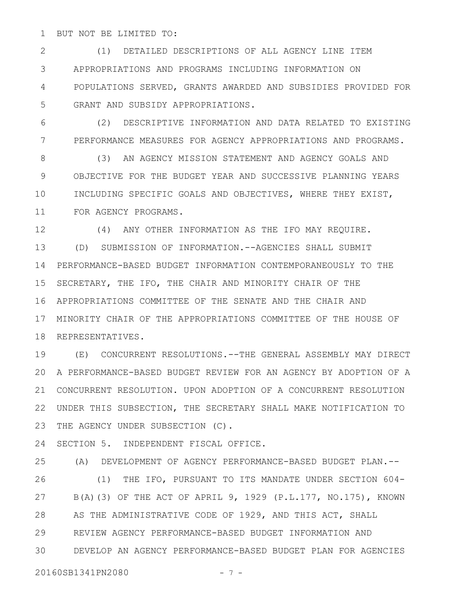BUT NOT BE LIMITED TO: 1

(1) DETAILED DESCRIPTIONS OF ALL AGENCY LINE ITEM APPROPRIATIONS AND PROGRAMS INCLUDING INFORMATION ON POPULATIONS SERVED, GRANTS AWARDED AND SUBSIDIES PROVIDED FOR GRANT AND SUBSIDY APPROPRIATIONS. 2 3 4 5

(2) DESCRIPTIVE INFORMATION AND DATA RELATED TO EXISTING PERFORMANCE MEASURES FOR AGENCY APPROPRIATIONS AND PROGRAMS. 6 7

(3) AN AGENCY MISSION STATEMENT AND AGENCY GOALS AND OBJECTIVE FOR THE BUDGET YEAR AND SUCCESSIVE PLANNING YEARS INCLUDING SPECIFIC GOALS AND OBJECTIVES, WHERE THEY EXIST, FOR AGENCY PROGRAMS. 8 9 10 11

(4) ANY OTHER INFORMATION AS THE IFO MAY REQUIRE. (D) SUBMISSION OF INFORMATION.--AGENCIES SHALL SUBMIT 14 PERFORMANCE-BASED BUDGET INFORMATION CONTEMPORANEOUSLY TO THE SECRETARY, THE IFO, THE CHAIR AND MINORITY CHAIR OF THE APPROPRIATIONS COMMITTEE OF THE SENATE AND THE CHAIR AND 16 MINORITY CHAIR OF THE APPROPRIATIONS COMMITTEE OF THE HOUSE OF 17 18 REPRESENTATIVES. 12 13 15

(E) CONCURRENT RESOLUTIONS.--THE GENERAL ASSEMBLY MAY DIRECT A PERFORMANCE-BASED BUDGET REVIEW FOR AN AGENCY BY ADOPTION OF A 20 CONCURRENT RESOLUTION. UPON ADOPTION OF A CONCURRENT RESOLUTION 21 UNDER THIS SUBSECTION, THE SECRETARY SHALL MAKE NOTIFICATION TO 22 THE AGENCY UNDER SUBSECTION (C). 19 23

SECTION 5. INDEPENDENT FISCAL OFFICE. 24

(A) DEVELOPMENT OF AGENCY PERFORMANCE-BASED BUDGET PLAN.-- (1) THE IFO, PURSUANT TO ITS MANDATE UNDER SECTION 604- B(A)(3) OF THE ACT OF APRIL 9, 1929 (P.L.177, NO.175), KNOWN AS THE ADMINISTRATIVE CODE OF 1929, AND THIS ACT, SHALL REVIEW AGENCY PERFORMANCE-BASED BUDGET INFORMATION AND DEVELOP AN AGENCY PERFORMANCE-BASED BUDGET PLAN FOR AGENCIES 25 26 27 28 29 30

20160SB1341PN2080 - 7 -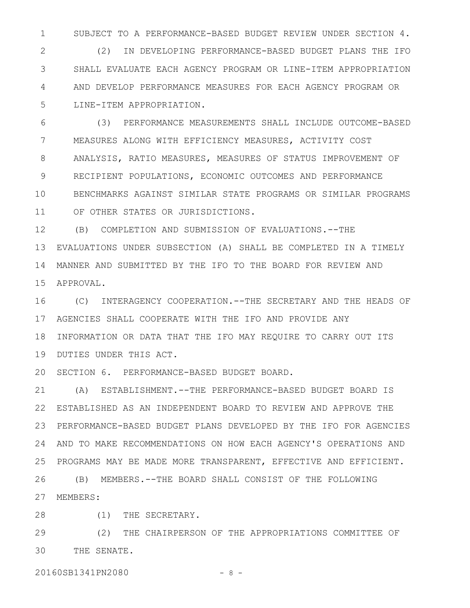SUBJECT TO A PERFORMANCE-BASED BUDGET REVIEW UNDER SECTION 4. 1

(2) IN DEVELOPING PERFORMANCE-BASED BUDGET PLANS THE IFO SHALL EVALUATE EACH AGENCY PROGRAM OR LINE-ITEM APPROPRIATION AND DEVELOP PERFORMANCE MEASURES FOR EACH AGENCY PROGRAM OR LINE-ITEM APPROPRIATION. 2 3 4 5

(3) PERFORMANCE MEASUREMENTS SHALL INCLUDE OUTCOME-BASED MEASURES ALONG WITH EFFICIENCY MEASURES, ACTIVITY COST ANALYSIS, RATIO MEASURES, MEASURES OF STATUS IMPROVEMENT OF RECIPIENT POPULATIONS, ECONOMIC OUTCOMES AND PERFORMANCE BENCHMARKS AGAINST SIMILAR STATE PROGRAMS OR SIMILAR PROGRAMS OF OTHER STATES OR JURISDICTIONS. 6 7 8 9 10 11

(B) COMPLETION AND SUBMISSION OF EVALUATIONS.--THE EVALUATIONS UNDER SUBSECTION (A) SHALL BE COMPLETED IN A TIMELY 13 MANNER AND SUBMITTED BY THE IFO TO THE BOARD FOR REVIEW AND 14 APPROVAL. 15 12

(C) INTERAGENCY COOPERATION.--THE SECRETARY AND THE HEADS OF AGENCIES SHALL COOPERATE WITH THE IFO AND PROVIDE ANY 17 18 INFORMATION OR DATA THAT THE IFO MAY REQUIRE TO CARRY OUT ITS 19 DUTIES UNDER THIS ACT. 16

20 SECTION 6. PERFORMANCE-BASED BUDGET BOARD.

(A) ESTABLISHMENT.--THE PERFORMANCE-BASED BUDGET BOARD IS ESTABLISHED AS AN INDEPENDENT BOARD TO REVIEW AND APPROVE THE 22 PERFORMANCE-BASED BUDGET PLANS DEVELOPED BY THE IFO FOR AGENCIES 23 AND TO MAKE RECOMMENDATIONS ON HOW EACH AGENCY'S OPERATIONS AND 24 25 PROGRAMS MAY BE MADE MORE TRANSPARENT, EFFECTIVE AND EFFICIENT. (B) MEMBERS.--THE BOARD SHALL CONSIST OF THE FOLLOWING 27 MEMBERS: 21 26

(1) THE SECRETARY. 28

(2) THE CHAIRPERSON OF THE APPROPRIATIONS COMMITTEE OF THE SENATE. 29 30

20160SB1341PN2080 - 8 -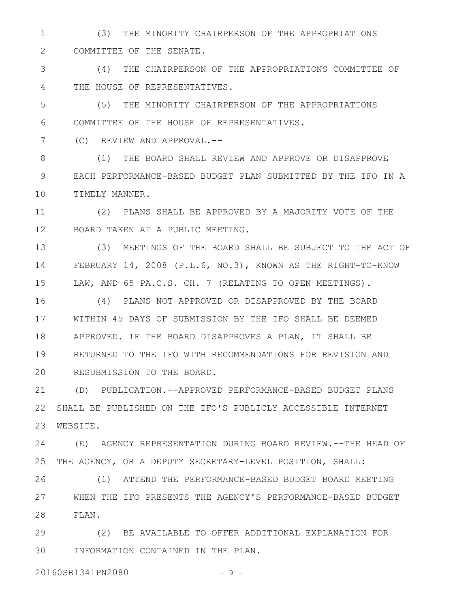(3) THE MINORITY CHAIRPERSON OF THE APPROPRIATIONS COMMITTEE OF THE SENATE. 1 2

(4) THE CHAIRPERSON OF THE APPROPRIATIONS COMMITTEE OF THE HOUSE OF REPRESENTATIVES. 3 4

(5) THE MINORITY CHAIRPERSON OF THE APPROPRIATIONS COMMITTEE OF THE HOUSE OF REPRESENTATIVES. 5 6

(C) REVIEW AND APPROVAL.-- 7

(1) THE BOARD SHALL REVIEW AND APPROVE OR DISAPPROVE EACH PERFORMANCE-BASED BUDGET PLAN SUBMITTED BY THE IFO IN A TIMELY MANNER. 8 9 10

(2) PLANS SHALL BE APPROVED BY A MAJORITY VOTE OF THE BOARD TAKEN AT A PUBLIC MEETING. 11 12

(3) MEETINGS OF THE BOARD SHALL BE SUBJECT TO THE ACT OF FEBRUARY 14, 2008 (P.L.6, NO.3), KNOWN AS THE RIGHT-TO-KNOW LAW, AND 65 PA.C.S. CH. 7 (RELATING TO OPEN MEETINGS). 13 14 15

(4) PLANS NOT APPROVED OR DISAPPROVED BY THE BOARD WITHIN 45 DAYS OF SUBMISSION BY THE IFO SHALL BE DEEMED APPROVED. IF THE BOARD DISAPPROVES A PLAN, IT SHALL BE RETURNED TO THE IFO WITH RECOMMENDATIONS FOR REVISION AND RESUBMISSION TO THE BOARD. 16 17 18 19 20

(D) PUBLICATION.--APPROVED PERFORMANCE-BASED BUDGET PLANS SHALL BE PUBLISHED ON THE IFO'S PUBLICLY ACCESSIBLE INTERNET WEBSITE. 21 22 23

(E) AGENCY REPRESENTATION DURING BOARD REVIEW.--THE HEAD OF THE AGENCY, OR A DEPUTY SECRETARY-LEVEL POSITION, SHALL: 24 25

(1) ATTEND THE PERFORMANCE-BASED BUDGET BOARD MEETING WHEN THE IFO PRESENTS THE AGENCY'S PERFORMANCE-BASED BUDGET PLAN. 28 26 27

(2) BE AVAILABLE TO OFFER ADDITIONAL EXPLANATION FOR INFORMATION CONTAINED IN THE PLAN. 29 30

20160SB1341PN2080 - 9 -